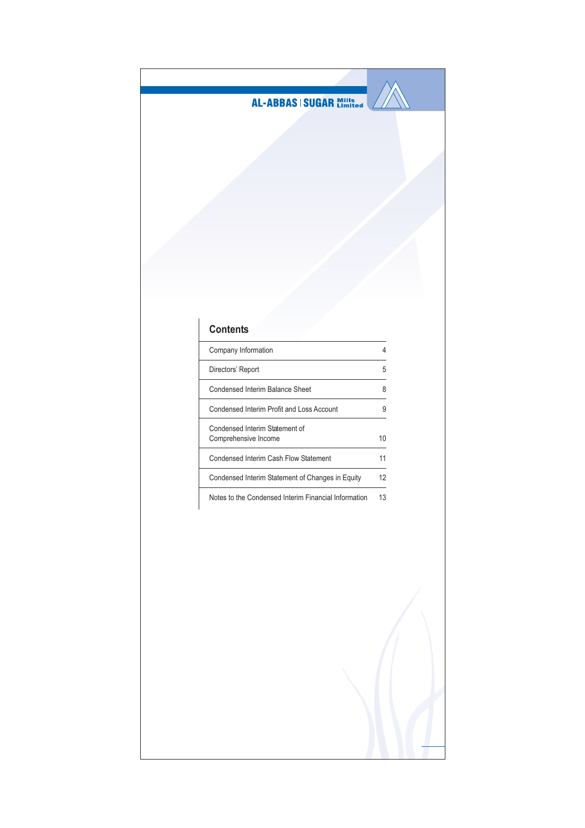

# Contents

| Company Information                                    |    |
|--------------------------------------------------------|----|
| Directors' Report                                      | 5  |
| Condensed Interim Balance Sheet                        | 8  |
| Condensed Interim Profit and Loss Account              | ö  |
| Condensed Interim Statement of<br>Comprehensive Income | 10 |
| Condensed Interim Cash Flow Statement                  | 11 |
| Condensed Interim Statement of Changes in Equity       | 12 |
|                                                        |    |

Notes to the Condensed Interim Financial Information 13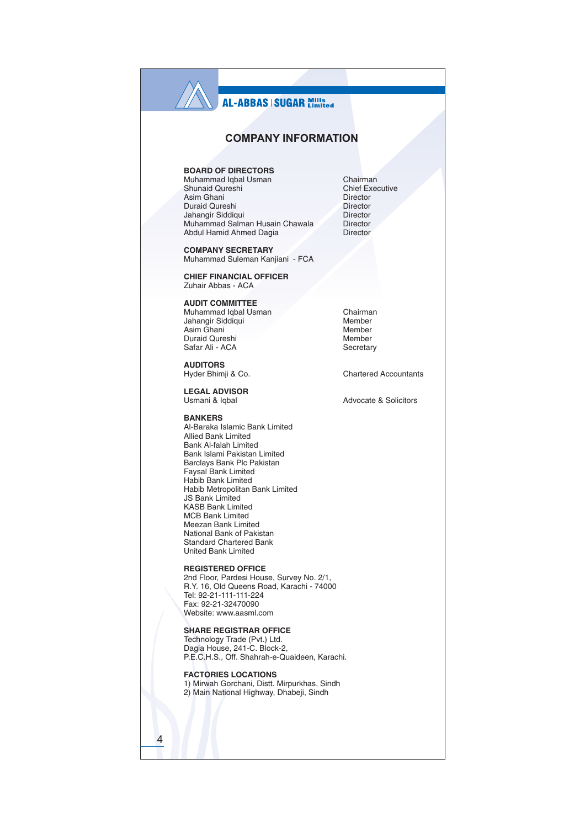## **COMPANY INFORMATION**

### **BOARD OF DIRECTORS**

Muhammad Iqbal Usman Shunaid Qureshi Asim Ghani Duraid Qureshi Jahangir Siddiqui Muhammad Salman Husain Chawala Abdul Hamid Ahmed Dagia

**COMPANY SECRETARY** Muhammad Suleman Kanjiani - FCA

**CHIEF FINANCIAL OFFICER** Zuhair Abbas - ACA

**AUDIT COMMITTEE** 

Muhammad Iqbal Usman Jahangir Siddiqui Asim Ghani Duraid Qureshi Safar Ali - ACA

**AUDITORS** Hyder Bhimji & Co.

**LEGAL ADVISOR** Usmani & Iqbal

**RANKERS** Al-Baraka Islamic Bank Limited Allied Bank Limited **Bank Al-falah Limited** Bank Islami Pakistan Limited Barclays Bank Plc Pakistan Faysal Bank Limited Habib Bank Limited Habib Metropolitan Bank Limited **JS Bank Limited KASB Bank Limited MCB Bank Limited** Meezan Bank Limited National Bank of Pakistan **Standard Chartered Bank United Bank Limited** 

**REGISTERED OFFICE** 2nd Floor, Pardesi House, Survey No. 2/1, R.Y. 16, Old Queens Road, Karachi - 74000 Tel: 92-21-111-111-224 Fax: 92-21-32470090 Website: www.aasml.com

#### **SHARE REGISTRAR OFFICE**

Technology Trade (Pvt.) Ltd.<br>Dagia House, 241-C. Block-2, P.E.C.H.S., Off. Shahrah-e-Quaideen, Karachi.

**FACTORIES LOCATIONS** 1) Mirwah Gorchani, Distt. Mirpurkhas, Sindh

 $\overline{4}$ 

2) Main National Highway, Dhabeji, Sindh

Chairman Chief Executive Director Director Director Director **Director** 

Chairman Member Member Member Secretary

**Chartered Accountants** 

Advocate & Solicitors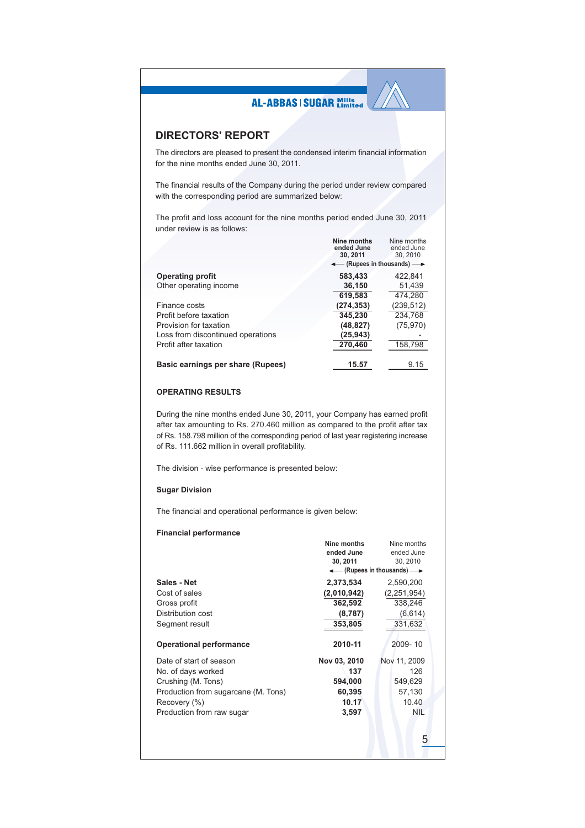### **DIRECTORS' REPORT**

The directors are pleased to present the condensed interim financial information for the nine months ended June 30, 2011.

The financial results of the Company during the period under review compared with the corresponding period are summarized below:

The profit and loss account for the nine months period ended June 30, 2011 under review is as follows:

|                                   | Nine months<br>ended June<br>30.2011             | Nine months<br>ended June<br>30.2010 |
|-----------------------------------|--------------------------------------------------|--------------------------------------|
|                                   | $\leftarrow$ (Rupees in thousands) $\rightarrow$ |                                      |
| <b>Operating profit</b>           | 583,433                                          | 422.841                              |
| Other operating income            | 36,150                                           | 51,439                               |
|                                   | 619.583                                          | 474.280                              |
| Finance costs                     | (274, 353)                                       | (239, 512)                           |
| Profit before taxation            | 345,230                                          | 234,768                              |
| Provision for taxation            | (48, 827)                                        | (75, 970)                            |
| Loss from discontinued operations | (25, 943)                                        |                                      |
| Profit after taxation             | 270,460                                          | 158,798                              |
| Basic earnings per share (Rupees) | 15.57                                            | 9.15                                 |

### **OPERATING RESULTS**

During the nine months ended June 30, 2011, your Company has earned profit after tax amounting to Rs. 270.460 million as compared to the profit after tax of Rs. 158.798 million of the corresponding period of last year registering increase of Rs. 111.662 million in overall profitability.

The division - wise performance is presented below:

### **Sugar Division**

The financial and operational performance is given below:

### **Financial performance**

|                                                                                                                                                         | Nine months<br>ended June<br>30, 2011                      | Nine months<br>ended June<br>30, 2010<br>← (Rupees in thousands) ← |
|---------------------------------------------------------------------------------------------------------------------------------------------------------|------------------------------------------------------------|--------------------------------------------------------------------|
| Sales - Net<br>Cost of sales<br>Gross profit<br>Distribution cost<br>Segment result                                                                     | 2,373,534<br>(2,010,942)<br>362,592<br>(8, 787)<br>353,805 | 2,590,200<br>(2, 251, 954)<br>338,246<br>(6, 614)<br>331,632       |
| <b>Operational performance</b>                                                                                                                          | 2010-11                                                    | 2009-10                                                            |
| Date of start of season<br>No. of days worked<br>Crushing (M. Tons)<br>Production from sugarcane (M. Tons)<br>Recovery (%)<br>Production from raw sugar | Nov 03, 2010<br>137<br>594,000<br>60,395<br>10.17<br>3,597 | Nov 11, 2009<br>126<br>549,629<br>57,130<br>10.40<br><b>NIL</b>    |
|                                                                                                                                                         |                                                            | 5                                                                  |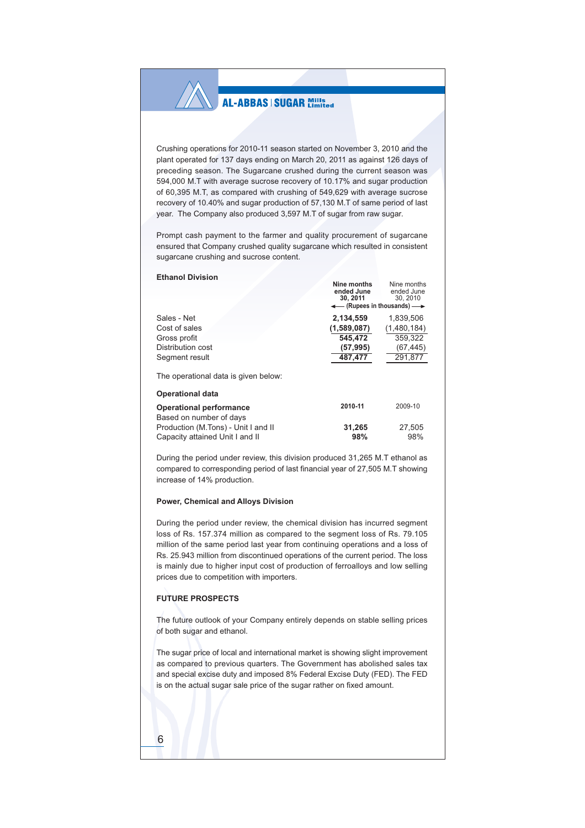Crushing operations for 2010-11 season started on November 3, 2010 and the plant operated for 137 days ending on March 20, 2011 as against 126 days of preceding season. The Sugarcane crushed during the current season was 594,000 M.T with average sucrose recovery of 10.17% and sugar production of 60,395 M.T, as compared with crushing of 549,629 with average sucrose recovery of 10.40% and sugar production of 57,130 M.T of same period of last year. The Company also produced 3,597 M.T of sugar from raw sugar.

Prompt cash payment to the farmer and quality procurement of sugarcane ensured that Company crushed quality sugarcane which resulted in consistent sugarcane crushing and sucrose content.

Nine months

Nine months

#### **Ethanol Division**

|                                                                 | ended June<br>30.2011<br>$\leftarrow$ (Rupees in thousands) $\rightarrow$ | ended June<br>30.2010 |
|-----------------------------------------------------------------|---------------------------------------------------------------------------|-----------------------|
| Sales - Net                                                     | 2.134.559                                                                 | 1.839.506             |
| Cost of sales                                                   | (1,589,087)                                                               | (1,480,184)           |
| Gross profit                                                    | 545,472                                                                   | 359,322               |
| Distribution cost                                               | (57, 995)                                                                 | (67, 445)             |
| Segment result                                                  | 487,477                                                                   | 291,877               |
| The operational data is given below:<br><b>Operational data</b> |                                                                           |                       |
| <b>Operational performance</b><br>Based on number of days       | 2010-11                                                                   | 2009-10               |
| Production (M.Tons) - Unit I and II                             | 31.265                                                                    | 27.505                |
| Capacity attained Unit I and II                                 | 98%                                                                       | 98%                   |

During the period under review, this division produced 31,265 M.T ethanol as compared to corresponding period of last financial year of 27,505 M.T showing increase of 14% production.

#### Power, Chemical and Alloys Division

During the period under review, the chemical division has incurred segment loss of Rs. 157.374 million as compared to the segment loss of Rs. 79.105 million of the same period last year from continuing operations and a loss of Rs. 25.943 million from discontinued operations of the current period. The loss is mainly due to higher input cost of production of ferroalloys and low selling prices due to competition with importers.

### **FUTURE PROSPECTS**

The future outlook of your Company entirely depends on stable selling prices of both sugar and ethanol.

The sugar price of local and international market is showing slight improvement as compared to previous quarters. The Government has abolished sales tax and special excise duty and imposed 8% Federal Excise Duty (FED). The FED is on the actual sugar sale price of the sugar rather on fixed amount.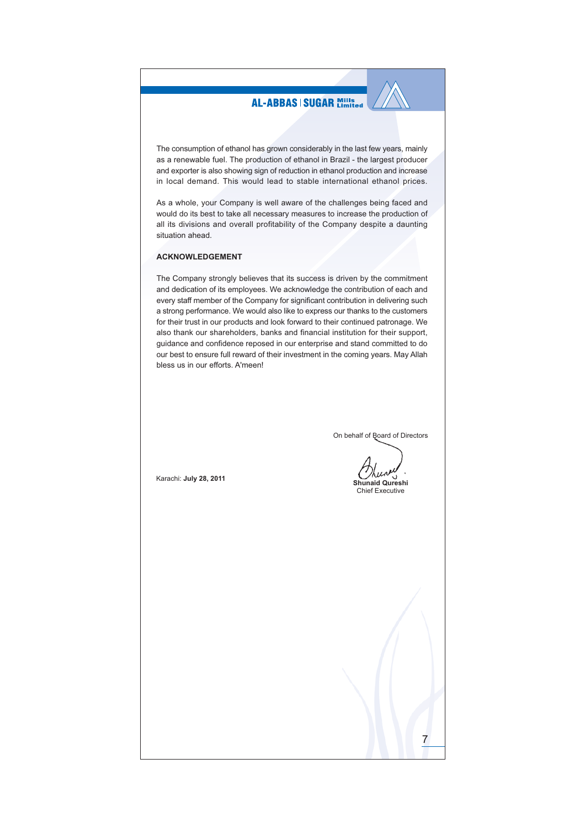The consumption of ethanol has grown considerably in the last few years, mainly as a renewable fuel. The production of ethanol in Brazil - the largest producer and exporter is also showing sign of reduction in ethanol production and increase in local demand. This would lead to stable international ethanol prices.

As a whole, your Company is well aware of the challenges being faced and would do its best to take all necessary measures to increase the production of all its divisions and overall profitability of the Company despite a daunting situation ahead.

#### **ACKNOWLEDGEMENT**

The Company strongly believes that its success is driven by the commitment and dedication of its employees. We acknowledge the contribution of each and every staff member of the Company for significant contribution in delivering such a strong performance. We would also like to express our thanks to the customers for their trust in our products and look forward to their continued patronage. We also thank our shareholders, banks and financial institution for their support, guidance and confidence reposed in our enterprise and stand committed to do our best to ensure full reward of their investment in the coming years. May Allah bless us in our efforts. A'meen!

On behalf of **Board** of Directors

Shunaid Qureshi **Chief Executive** 

Karachi: July 28, 2011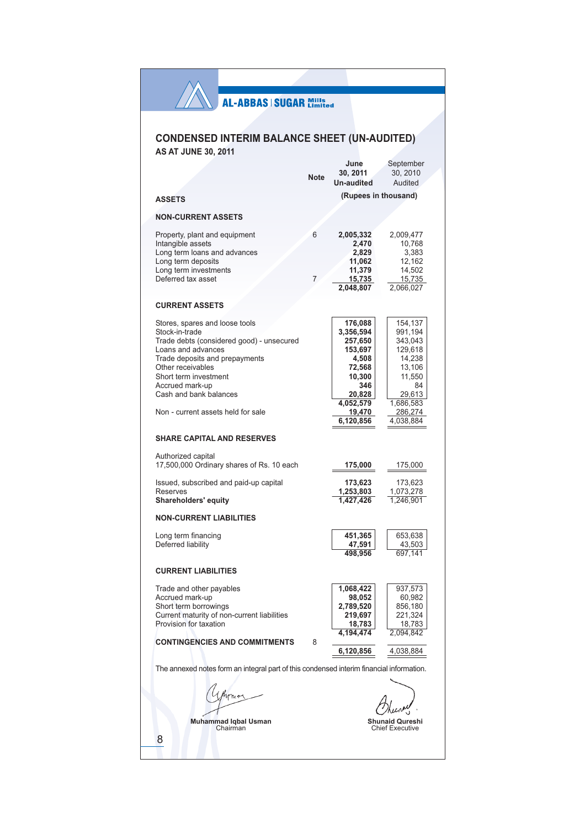# **CONDENSED INTERIM BALANCE SHEET (UN-AUDITED) AS AT JUNE 30, 2011**

|                                                                                                                                                                                                                                                                                        | <b>Note</b> | June<br>30.2011<br><b>Un-audited</b>                                                                  | September<br>30, 2010<br>Audited                                                                               |
|----------------------------------------------------------------------------------------------------------------------------------------------------------------------------------------------------------------------------------------------------------------------------------------|-------------|-------------------------------------------------------------------------------------------------------|----------------------------------------------------------------------------------------------------------------|
| <b>ASSETS</b>                                                                                                                                                                                                                                                                          |             | (Rupees in thousand)                                                                                  |                                                                                                                |
| <b>NON-CURRENT ASSETS</b>                                                                                                                                                                                                                                                              |             |                                                                                                       |                                                                                                                |
| Property, plant and equipment<br>Intangible assets<br>Long term loans and advances<br>Long term deposits<br>Long term investments<br>Deferred tax asset                                                                                                                                | 6<br>7      | 2,005,332<br>2,470<br>2,829<br>11,062<br>11,379<br><u>15,735 </u>                                     | 2,009,477<br>10,768<br>3,383<br>12,162<br>14,502<br>15,735                                                     |
|                                                                                                                                                                                                                                                                                        |             | 2,048,807                                                                                             | 2,066,027                                                                                                      |
| <b>CURRENT ASSETS</b>                                                                                                                                                                                                                                                                  |             |                                                                                                       |                                                                                                                |
| Stores, spares and loose tools<br>Stock-in-trade<br>Trade debts (considered good) - unsecured<br>Loans and advances<br>Trade deposits and prepayments<br>Other receivables<br>Short term investment<br>Accrued mark-up<br>Cash and bank balances<br>Non - current assets held for sale |             | 176,088<br>3,356,594<br>257,650<br>153,697<br>4,508<br>72,568<br>10,300<br>346<br>20,828<br>4,052,579 | 154,137<br>991,194<br>343,043<br>129,618<br>14,238<br>13,106<br>11,550<br>84<br>29,613<br>1,686,583<br>286,274 |
|                                                                                                                                                                                                                                                                                        |             | 19,470<br>6,120,856                                                                                   | 4,038,884                                                                                                      |
| <b>SHARE CAPITAL AND RESERVES</b>                                                                                                                                                                                                                                                      |             |                                                                                                       |                                                                                                                |
| Authorized capital<br>17,500,000 Ordinary shares of Rs. 10 each                                                                                                                                                                                                                        |             | 175,000                                                                                               | 175,000                                                                                                        |
| Issued, subscribed and paid-up capital<br><b>Reserves</b><br>Shareholders' equity                                                                                                                                                                                                      |             | 173,623<br>1,253,803<br>1,427,426                                                                     | 173,623<br>1,073,278<br>1,246,901                                                                              |
| <b>NON-CURRENT LIABILITIES</b>                                                                                                                                                                                                                                                         |             |                                                                                                       |                                                                                                                |
| Long term financing<br>Deferred liability                                                                                                                                                                                                                                              |             | 451,365<br>47,591<br>498.956                                                                          | 653,638<br>43,503<br>697,141                                                                                   |
| <b>CURRENT LIABILITIES</b>                                                                                                                                                                                                                                                             |             |                                                                                                       |                                                                                                                |
| Trade and other payables<br>Accrued mark-up<br>Short term borrowings<br>Current maturity of non-current liabilities<br>Provision for taxation                                                                                                                                          |             | 1,068,422<br>98,052<br>2,789,520<br>219,697<br>18,783<br>4.194.474                                    | 937,573<br>60,982<br>856,180<br>221,324<br>18,783<br>2,094,842                                                 |
| <b>CONTINGENCIES AND COMMITMENTS</b>                                                                                                                                                                                                                                                   | 8           | 6,120,856                                                                                             | 4,038,884                                                                                                      |
| The annexed notes form an integral part of this condensed interim financial information.                                                                                                                                                                                               |             |                                                                                                       |                                                                                                                |
| <b>Muhammad Iqbal Usman</b><br>Chairman<br>8                                                                                                                                                                                                                                           |             |                                                                                                       | Shunaid Qureshi<br><b>Chief Executive</b>                                                                      |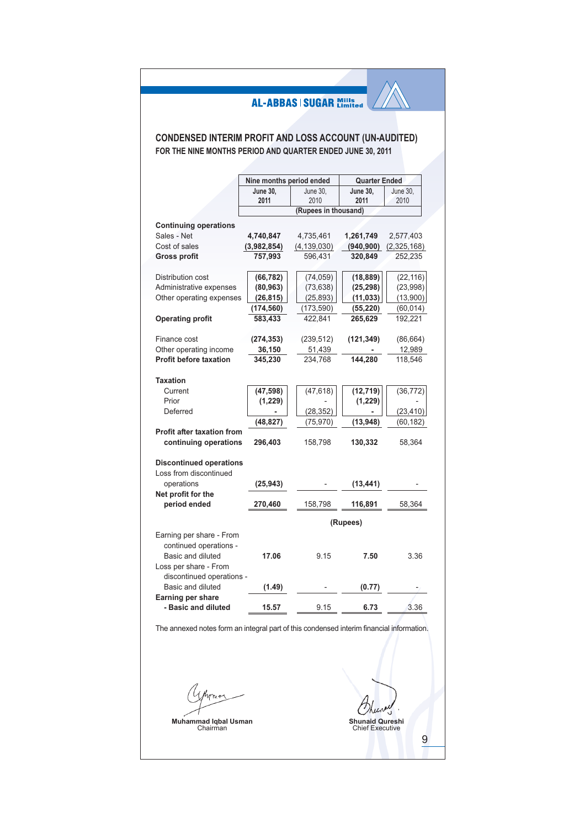## **CONDENSED INTERIM PROFIT AND LOSS ACCOUNT (UN-AUDITED)** FOR THE NINE MONTHS PERIOD AND QUARTER ENDED JUNE 30, 2011

|                                   | Nine months period ended |                      | <b>Quarter Ended</b> |             |
|-----------------------------------|--------------------------|----------------------|----------------------|-------------|
|                                   | June 30,                 | June 30,             | <b>June 30,</b>      | June 30,    |
|                                   | 2011                     | 2010                 | 2011                 | 2010        |
|                                   |                          | (Rupees in thousand) |                      |             |
|                                   |                          |                      |                      |             |
| <b>Continuing operations</b>      |                          |                      |                      |             |
| Sales - Net                       | 4,740,847                | 4,735,461            | 1,261,749            | 2,577,403   |
| Cost of sales                     | (3,982,854)              | (4, 139, 030)        | (940, 900)           | (2,325,168) |
| <b>Gross profit</b>               | 757,993                  | 596,431              | 320,849              | 252,235     |
| Distribution cost                 | (66, 782)                | (74, 059)            | (18, 889)            | (22, 116)   |
| Administrative expenses           | (80, 963)                | (73, 638)            | (25, 298)            | (23,998)    |
| Other operating expenses          |                          | (25, 893)            |                      | (13,900)    |
|                                   | (26, 815)                |                      | (11, 033)            |             |
|                                   | (174, 560)               | (173, 590)           | (55, 220)            | (60, 014)   |
| <b>Operating profit</b>           | 583,433                  | 422,841              | 265,629              | 192,221     |
| Finance cost                      | (274,353)                | (239, 512)           | (121, 349)           | (86, 664)   |
| Other operating income            | 36,150                   | 51,439               |                      | 12,989      |
| <b>Profit before taxation</b>     | 345,230                  | 234,768              | 144.280              | 118.546     |
|                                   |                          |                      |                      |             |
| <b>Taxation</b>                   |                          |                      |                      |             |
| Current                           | (47, 598)                | (47, 618)            | (12, 719)            | (36, 772)   |
| Prior                             | (1,229)                  |                      | (1,229)              |             |
| Deferred                          |                          | (28, 352)            |                      | (23, 410)   |
|                                   | (48, 827)                | (75, 970)            | (13, 948)            | (60, 182)   |
| <b>Profit after taxation from</b> |                          |                      |                      |             |
| continuing operations             | 296,403                  | 158,798              | 130,332              | 58,364      |
|                                   |                          |                      |                      |             |
| <b>Discontinued operations</b>    |                          |                      |                      |             |
| Loss from discontinued            |                          |                      |                      |             |
| operations                        | (25, 943)                |                      | (13, 441)            |             |
| Net profit for the                |                          |                      |                      |             |
| period ended                      | 270,460                  | 158,798              | 116,891              | 58,364      |
|                                   |                          |                      |                      |             |
|                                   |                          |                      | (Rupees)             |             |
| Earning per share - From          |                          |                      |                      |             |
| continued operations -            |                          |                      |                      |             |
| Basic and diluted                 | 17.06                    | 9.15                 | 7.50                 | 3.36        |
| Loss per share - From             |                          |                      |                      |             |
| discontinued operations -         |                          |                      |                      |             |
| Basic and diluted                 | (1.49)                   |                      | (0.77)               |             |
| Earning per share                 |                          |                      |                      |             |
| - Basic and diluted               | 15.57                    | 9.15                 | 6.73                 | 3.36        |
|                                   |                          |                      |                      |             |

The annexed notes form an integral part of this condensed interim financial information.

Uthome

Muhammad Iqbal Usman<br>Chairman

Shunaid Qureshi<br>Chief Executive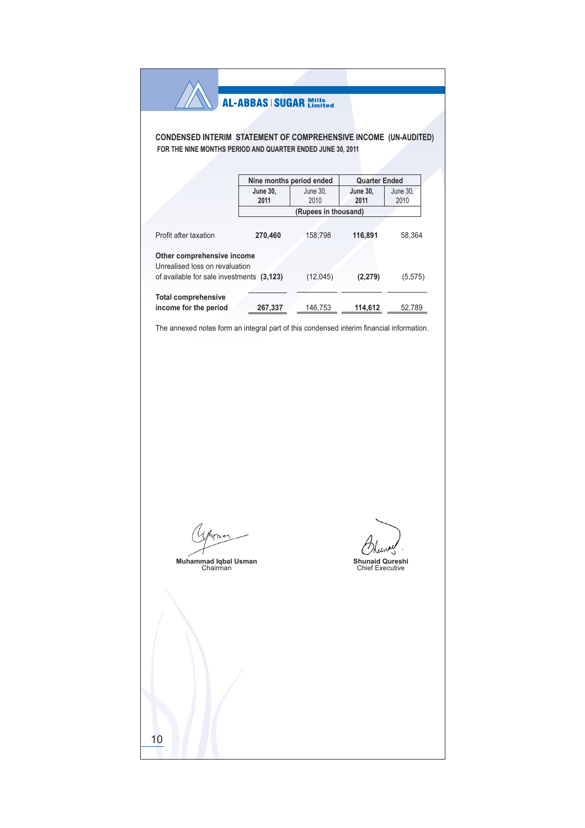### CONDENSED INTERIM STATEMENT OF COMPREHENSIVE INCOME (UN-AUDITED) FOR THE NINE MONTHS PERIOD AND QUARTER ENDED JUNE 30, 2011

|                                                              |                 | Nine months period ended | <b>Quarter Ended</b> |          |
|--------------------------------------------------------------|-----------------|--------------------------|----------------------|----------|
|                                                              | <b>June 30,</b> | June 30,                 | June 30,             | June 30, |
|                                                              | 2011            | 2010                     | 2011                 | 2010     |
|                                                              |                 | (Rupees in thousand)     |                      |          |
|                                                              |                 |                          |                      |          |
| Profit after taxation                                        | 270.460         | 158.798                  | 116,891              | 58.364   |
| Other comprehensive income<br>Unrealised loss on revaluation |                 |                          |                      |          |
| of available for sale investments (3,123)                    |                 | (12, 045)                | (2, 279)             | (5,575)  |
| <b>Total comprehensive</b>                                   |                 |                          |                      |          |
| income for the period                                        | 267,337         | 146.753                  | 114,612              | 52.789   |

The annexed notes form an integral part of this condensed interim financial information.

1 Avons

Muhammad Iqbal Usman<br>Chairman

Shunaid Qureshi<br>Chief Executive

 $10$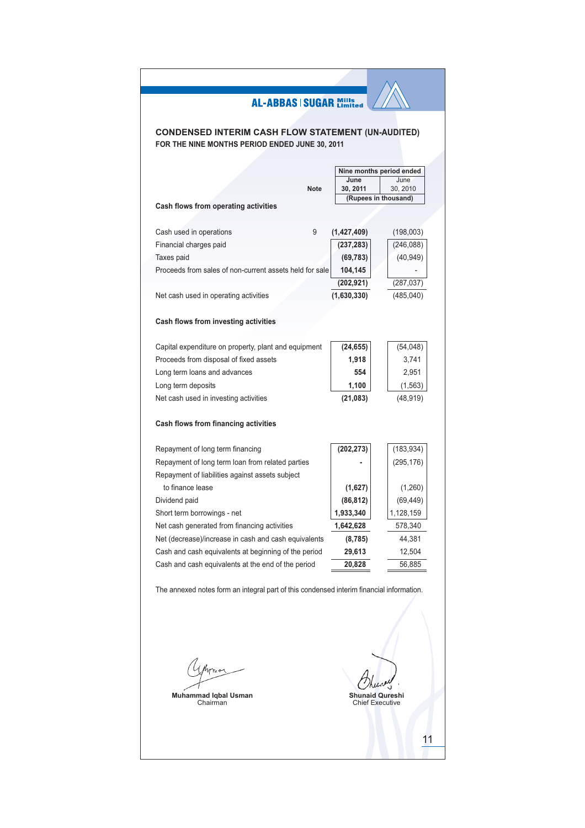## **CONDENSED INTERIM CASH FLOW STATEMENT (UN-AUDITED)** FOR THE NINE MONTHS PERIOD ENDED JUNE 30, 2011

|                                                         |               | Nine months period ended         |
|---------------------------------------------------------|---------------|----------------------------------|
|                                                         | June          | June                             |
| <b>Note</b>                                             | 30, 2011      | 30, 2010<br>(Rupees in thousand) |
| Cash flows from operating activities                    |               |                                  |
|                                                         |               |                                  |
| Cash used in operations<br>9                            | (1, 427, 409) | (198,003)                        |
| Financial charges paid                                  | (237, 283)    | (246, 088)                       |
| Taxes paid                                              | (69, 783)     | (40, 949)                        |
| Proceeds from sales of non-current assets held for sale | 104,145       |                                  |
|                                                         | (202, 921)    | (287, 037)                       |
| Net cash used in operating activities                   | (1,630,330)   | (485, 040)                       |
|                                                         |               |                                  |
| Cash flows from investing activities                    |               |                                  |
|                                                         |               |                                  |
| Capital expenditure on property, plant and equipment    | (24, 655)     | (54,048)                         |
| Proceeds from disposal of fixed assets                  | 1,918         | 3,741                            |
| Long term loans and advances                            | 554           | 2,951                            |
| Long term deposits                                      | 1,100         | (1, 563)                         |
| Net cash used in investing activities                   | (21, 083)     | (48, 919)                        |
|                                                         |               |                                  |
| Cash flows from financing activities                    |               |                                  |
|                                                         |               |                                  |
| Repayment of long term financing                        | (202, 273)    | (183, 934)                       |
| Repayment of long term loan from related parties        |               | (295, 176)                       |
| Repayment of liabilities against assets subject         |               |                                  |
| to finance lease                                        | (1,627)       | (1,260)                          |
| Dividend paid                                           | (86, 812)     | (69, 449)                        |
| Short term borrowings - net                             | 1,933,340     | 1,128,159                        |
| Net cash generated from financing activities            | 1,642,628     | 578,340                          |
| Net (decrease)/increase in cash and cash equivalents    | (8, 785)      | 44,381                           |
| Cash and cash equivalents at beginning of the period    | 29,613        | 12,504                           |
| Cash and cash equivalents at the end of the period      | 20,828        | 56,885                           |
|                                                         |               |                                  |

The annexed notes form an integral part of this condensed interim financial information.

*1 Hvms* 

Muhammad Iqbal Usman<br>Chairman

'nμ Shunaid Qureshi<br>Chief Executive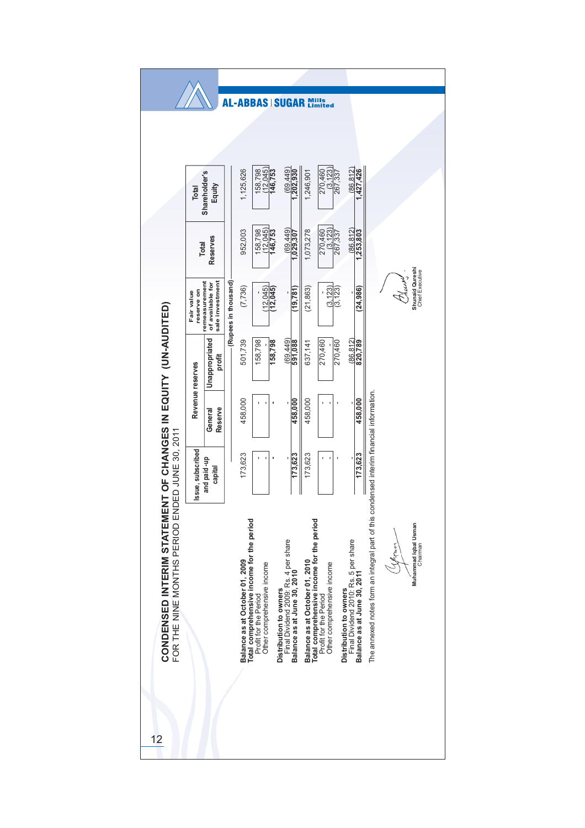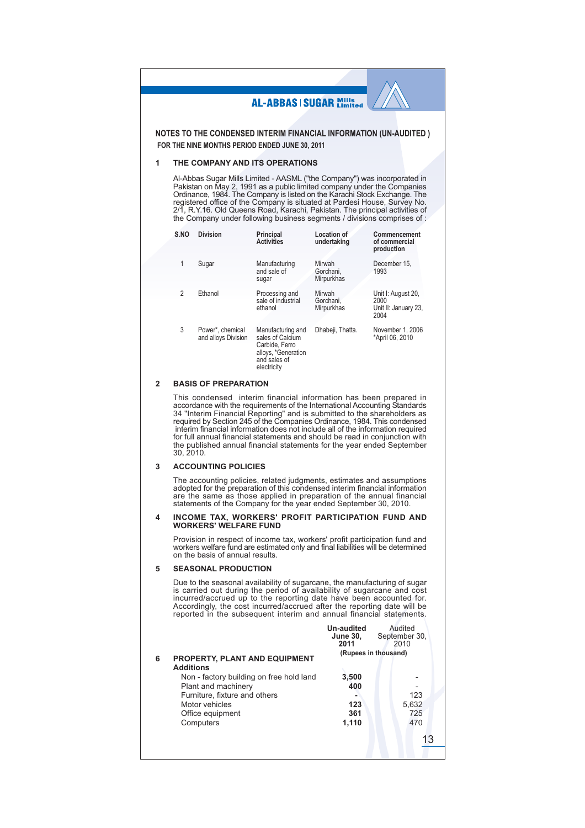NOTES TO THE CONDENSED INTERIM FINANCIAL INFORMATION (UN-AUDITED) FOR THE NINE MONTHS PERIOD ENDED JUNE 30, 2011

#### THE COMPANY AND ITS OPERATIONS 1

Al-Abbas Sugar Mills Limited - AASML ("the Company") was incorporated in Pakistan on May 2, 1991 as a public limited company under the Companies<br>Ordinance, 1984. The Company is listed on the Karachi Stock Exchange. The<br>registered office of the Company is situated at Pardesi House, Survey No.<br>2/ the Company under following business segments / divisions comprises of :

| S.NO | <b>Division</b>                         | Principal<br><b>Activities</b>                                                                                | Location of<br>undertaking        | Commencement<br>of commercial<br>production                |
|------|-----------------------------------------|---------------------------------------------------------------------------------------------------------------|-----------------------------------|------------------------------------------------------------|
| 1    | Sugar                                   | Manufacturing<br>and sale of<br>sugar                                                                         | Mirwah<br>Gorchani.<br>Mirpurkhas | December 15.<br>1993                                       |
| 2    | Fthanol                                 | Processing and<br>sale of industrial<br>ethanol                                                               | Mirwah<br>Gorchani.<br>Mirpurkhas | Unit I: August 20,<br>2000<br>Unit II: January 23,<br>2004 |
| 3    | Power*, chemical<br>and alloys Division | Manufacturing and<br>sales of Calcium<br>Carbide, Ferro<br>alloys, *Generation<br>and sales of<br>electricity | Dhabeji, Thatta.                  | November 1, 2006<br>*April 06, 2010                        |

#### **BASIS OF PREPARATION**  $\overline{2}$

This condensed interim financial information has been prepared in accordance with the requirements of the International Accounting Standards 34 "Interim Financial Reporting" and is submitted to the shareholders as required by Section 245 of the Companies Ordinance, 1984. This condensed interim financial information does not include all of the information required for full annual financial statements and should be read in conjunction with the published annual financial statements for the year ended September 30, 2010.

#### $\overline{3}$ **ACCOUNTING POLICIES**

The accounting policies, related judgments, estimates and assumptions adopted for the preparation of this condensed interim financial information statements of the same as those applied in preparation of the annual financial<br>statements of the Company for the year ended September 30, 2010.

#### INCOME TAX, WORKERS' PROFIT PARTICIPATION FUND AND  $\boldsymbol{\Lambda}$ **WORKERS' WELFARE FUND**

Provision in respect of income tax, workers' profit participation fund and workers welfare fund are estimated only and final liabilities will be determined on the basis of annual results.

#### 5 SEASONAL PRODUCTION

Due to the seasonal availability of sugarcane, the manufacturing of sugar<br>is carried out during the period of availability of sugarcane and cost incurred/accrued up to the reporting date have been accounted for. Accordingly, the cost incurred/accrued after the reporting date will be reported in the subsequent interim and annual financial statements.

|   |                                                          | Un-audited<br><b>June 30,</b><br>2011 | Audited<br>September 30,<br>2010 |
|---|----------------------------------------------------------|---------------------------------------|----------------------------------|
| 6 | <b>PROPERTY, PLANT AND EQUIPMENT</b><br><b>Additions</b> |                                       | (Rupees in thousand)             |
|   | Non - factory building on free hold land                 | 3,500                                 |                                  |
|   | Plant and machinery                                      | 400                                   |                                  |
|   | Furniture, fixture and others                            |                                       | 123                              |
|   | Motor vehicles                                           | 123                                   | 5,632                            |
|   | Office equipment                                         | 361                                   | 725                              |
|   | Computers                                                | 1,110                                 | 470                              |
|   |                                                          |                                       |                                  |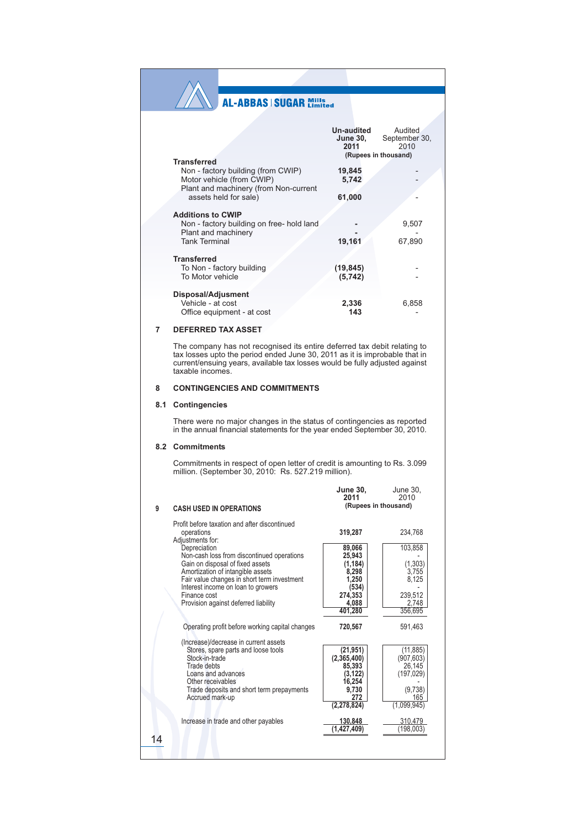| <b>Transferred</b>                                                                                                                            | <b>Un-audited</b><br>June 30.<br>2011 | Audited<br>September 30,<br>2010<br>(Rupees in thousand) |
|-----------------------------------------------------------------------------------------------------------------------------------------------|---------------------------------------|----------------------------------------------------------|
| Non - factory building (from CWIP)<br>Motor vehicle (from CWIP)<br>Plant and machinery (from Non-current                                      | 19,845<br>5,742                       |                                                          |
| assets held for sale)<br><b>Additions to CWIP</b><br>Non - factory building on free- hold land<br>Plant and machinery<br><b>Tank Terminal</b> | 61,000<br>19,161                      | 9,507<br>67,890                                          |
| <b>Transferred</b><br>To Non - factory building<br>To Motor vehicle                                                                           | (19, 845)<br>(5, 742)                 |                                                          |
| Disposal/Adjusment<br>Vehicle - at cost<br>Office equipment - at cost                                                                         | 2.336<br>143                          | 6,858                                                    |

#### **DEFERRED TAX ASSET**  $\overline{7}$

The company has not recognised its entire deferred tax debit relating to tax losses upto the period ended June 30, 2011 as it is improbable that in current/ensuing years, available tax losses would be fully adjusted agains

#### **CONTINGENCIES AND COMMITMENTS** 8

#### 8.1 Contingencies

There were no major changes in the status of contingencies as reported in the annual financial statements for the year ended September 30, 2010.

#### 8.2 Commitments

Commitments in respect of open letter of credit is amounting to Rs. 3.099 million. (September 30, 2010: Rs. 527.219 million).

|    |                                                                                                                                                                                                                                                                                  | <b>June 30,</b><br>2011                                                                                              | June 30,<br>2010                                                                                         |
|----|----------------------------------------------------------------------------------------------------------------------------------------------------------------------------------------------------------------------------------------------------------------------------------|----------------------------------------------------------------------------------------------------------------------|----------------------------------------------------------------------------------------------------------|
| 9  | <b>CASH USED IN OPERATIONS</b>                                                                                                                                                                                                                                                   | (Rupees in thousand)                                                                                                 |                                                                                                          |
|    | Profit before taxation and after discontinued<br>operations<br>Adjustments for:                                                                                                                                                                                                  | 319,287                                                                                                              | 234.768                                                                                                  |
|    | Depreciation<br>Non-cash loss from discontinued operations<br>Gain on disposal of fixed assets<br>Amortization of intangible assets<br>Fair value changes in short term investment<br>Interest income on loan to growers<br>Finance cost<br>Provision against deferred liability | 89,066<br>25.943<br>(1, 184)<br>8,298<br>1,250<br>(534)<br>274.353<br>4,088<br>401,280                               | 103,858<br>(1, 303)<br>3,755<br>8,125<br>239.512<br>2.748<br>356,695                                     |
|    | Operating profit before working capital changes                                                                                                                                                                                                                                  | 720,567                                                                                                              | 591,463                                                                                                  |
|    | (Increase)/decrease in current assets<br>Stores, spare parts and loose tools<br>Stock-in-trade<br>Trade debts<br>Loans and advances<br>Other receivables<br>Trade deposits and short term prepayments<br>Accrued mark-up<br>Increase in trade and other payables                 | (21, 951)<br>(2,365,400)<br>85,393<br>(3,122)<br>16,254<br>9,730<br>272<br>(2, 278, 824)<br>130,848<br>(1, 427, 409) | (11, 885)<br>(907, 603)<br>26,145<br>(197, 029)<br>(9,738)<br>165<br>(1,099,945)<br>310,479<br>(198,003) |
| 14 |                                                                                                                                                                                                                                                                                  |                                                                                                                      |                                                                                                          |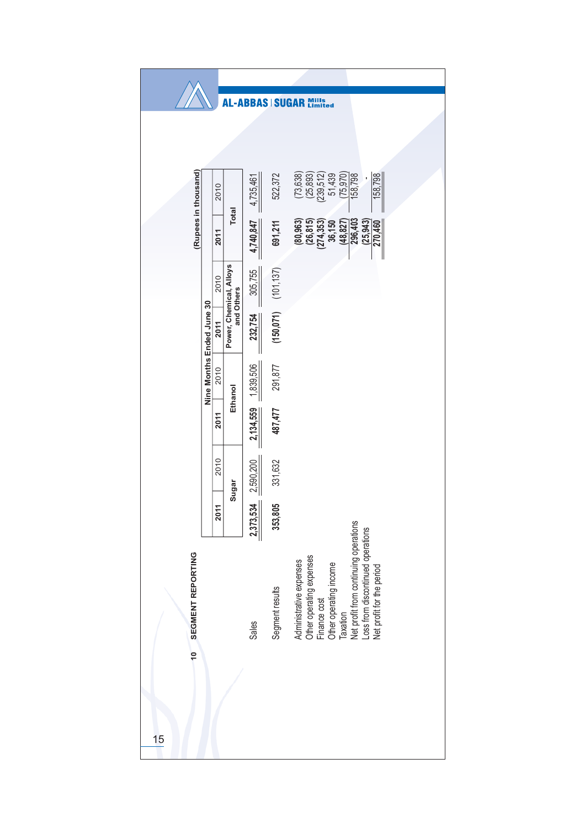|                      |                           |      |                                       |           | AL-ABBAS   SUGAR Mills    |                                                                                                                                                                                                                      |  |  |  |  |
|----------------------|---------------------------|------|---------------------------------------|-----------|---------------------------|----------------------------------------------------------------------------------------------------------------------------------------------------------------------------------------------------------------------|--|--|--|--|
|                      |                           |      |                                       |           |                           |                                                                                                                                                                                                                      |  |  |  |  |
|                      |                           |      |                                       |           |                           |                                                                                                                                                                                                                      |  |  |  |  |
| (Rupees in thousand) | Nine Months Ended June 30 | 2010 |                                       | 4,735,461 | 522,372                   | $(73,638)$<br>$(25,893)$<br>$(239,512)$<br>$51,439$<br>(75, 970)<br>158,798<br>158,798                                                                                                                               |  |  |  |  |
|                      |                           | 2011 | Total                                 | 4,740,847 | 691,211                   | 296,403<br>$(80, 963)$<br>$(26, 815)$<br>$(274, 353)$<br>$36, 150$<br>(25, 943)<br>270,460<br>(48, 827)                                                                                                              |  |  |  |  |
|                      |                           | 2010 |                                       | 305,755   |                           |                                                                                                                                                                                                                      |  |  |  |  |
|                      |                           | 2011 | Power, Chemical, Alloys<br>and Others | 232,754   | $(150, 071)$ $(101, 137)$ |                                                                                                                                                                                                                      |  |  |  |  |
|                      |                           | 2010 | Ethanol                               | 1,839,506 | 291,877                   |                                                                                                                                                                                                                      |  |  |  |  |
|                      |                           | 2011 |                                       | 2,134,559 | 487,477                   |                                                                                                                                                                                                                      |  |  |  |  |
|                      |                           | 2010 | Sugar                                 | 2,590,200 | 331,632                   |                                                                                                                                                                                                                      |  |  |  |  |
|                      |                           | 2011 |                                       | 2,373,534 | 353,805                   |                                                                                                                                                                                                                      |  |  |  |  |
| SEGMENT REPORTING    |                           |      |                                       | Sales     | Segment results           | Taxation<br>Net profit from continuing operations<br>Loss from discontinued operations<br>Administrative expenses<br>Other operating expenses<br>Other operating income<br>Net profit for the period<br>Finance cost |  |  |  |  |
| $\frac{1}{2}$        |                           |      |                                       |           |                           |                                                                                                                                                                                                                      |  |  |  |  |
| 15                   |                           |      |                                       |           |                           |                                                                                                                                                                                                                      |  |  |  |  |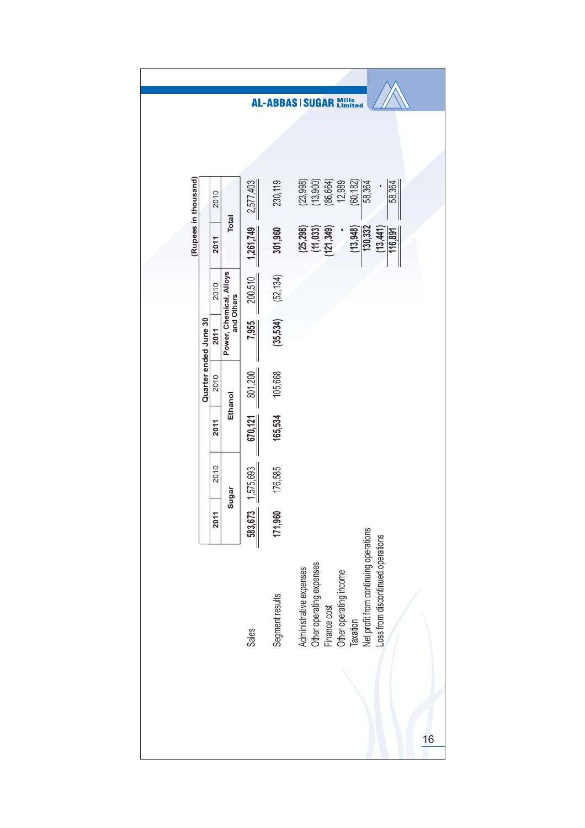|                      |                       |      |                                       |           |                 | <b>AL-ABBAS   SUGAR Mills</b>                                                                                                                                                           |  |
|----------------------|-----------------------|------|---------------------------------------|-----------|-----------------|-----------------------------------------------------------------------------------------------------------------------------------------------------------------------------------------|--|
|                      |                       |      |                                       |           |                 |                                                                                                                                                                                         |  |
|                      |                       | 2010 |                                       | 2,577,403 | 230,119         | (23,998)<br>(86, 664)<br>(60, 182)<br>(13,900)<br>12,989<br>58,364<br>58,364                                                                                                            |  |
| (Rupees in thousand) |                       | 2011 | Total                                 | 1,261,749 | 301,960         | 130,332<br>(25, 298)<br>(11, 033)<br>(121, 349)<br>(13,948)<br>(13, 441)<br>116,891                                                                                                     |  |
|                      |                       | 2010 |                                       | 200,510   | (52, 134)       |                                                                                                                                                                                         |  |
|                      |                       | 2011 | Power, Chemical, Alloys<br>and Others | 7,955     | (35, 534)       |                                                                                                                                                                                         |  |
|                      | Quarter ended June 30 | 2010 | Ethanol                               | 801,200   | 105,668         |                                                                                                                                                                                         |  |
|                      |                       | 2011 |                                       | 670, 121  | 165,534         |                                                                                                                                                                                         |  |
|                      |                       |      | 2010                                  | Sugar     | 1,575,693       | 176,585                                                                                                                                                                                 |  |
|                      |                       | 2011 |                                       | 583,673   | 171,960         |                                                                                                                                                                                         |  |
|                      |                       |      |                                       | Sales     | Segment results | Net profit from continuing operations<br>Loss from discontinued operations<br>Other operating expenses<br>Finance cost<br>Administrative expenses<br>Other operating income<br>Taxation |  |
|                      |                       |      |                                       |           |                 | 16                                                                                                                                                                                      |  |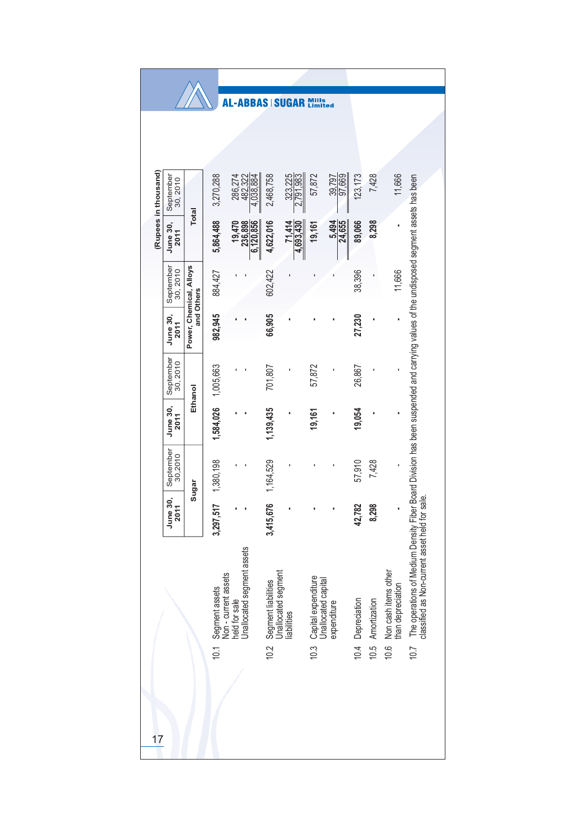|                                                             |                                       |                                                                                       | -ABBAS<br>A J                   |                                                           | <b>SUGAR</b>         | Mills<br>Limited |                                                           |                   |              |                                           |                                                                                                                                                                                          |
|-------------------------------------------------------------|---------------------------------------|---------------------------------------------------------------------------------------|---------------------------------|-----------------------------------------------------------|----------------------|------------------|-----------------------------------------------------------|-------------------|--------------|-------------------------------------------|------------------------------------------------------------------------------------------------------------------------------------------------------------------------------------------|
|                                                             |                                       |                                                                                       |                                 |                                                           |                      |                  |                                                           |                   |              |                                           |                                                                                                                                                                                          |
| (Rupees in thousand)<br>September<br>30, 2010               |                                       | 3,270,288                                                                             | 286,274<br>482,322<br>4,038,884 | 2,468,758                                                 | 323,225<br>2,791,983 | 57,872           | 39,797<br>97,669                                          | 123, 173          | 7,428        | 11,666                                    |                                                                                                                                                                                          |
| June 30,<br>2011                                            | <b>Total</b>                          | 5,864,488                                                                             | 19,470<br>236,898<br>6,120,856  | 4,622,016                                                 | 71,414<br>4,693,430  | 19,161           | 5,494<br>24,655                                           | 89,066            | 8,298        |                                           |                                                                                                                                                                                          |
| September<br>30,2010                                        | Power, Chemical, Alloys<br>and Others | 884,427                                                                               |                                 | 602,422                                                   |                      |                  |                                                           | 38,396            |              | 11,666                                    |                                                                                                                                                                                          |
| June 30,<br>2011                                            |                                       | 982,945                                                                               |                                 | 66,905                                                    |                      |                  |                                                           | 27,230            |              |                                           |                                                                                                                                                                                          |
| September<br>30, 2010                                       | Ethanol                               | 1,005,663                                                                             |                                 | 701,807                                                   |                      | 57,872           |                                                           | 26,867            |              |                                           |                                                                                                                                                                                          |
| <b>June 30,</b><br>2011                                     |                                       | 1,584,026                                                                             |                                 | 1,139,435                                                 |                      | 19,161           |                                                           | 19,054            |              |                                           |                                                                                                                                                                                          |
| September<br>30,2010                                        | Sugar                                 | 1,380,198                                                                             |                                 | 1,164,529                                                 |                      |                  |                                                           | 57,910            | 7,428        |                                           |                                                                                                                                                                                          |
| 30,<br>$\overline{\phantom{0}}$<br>June<br>$\overline{201}$ |                                       | 3,297,517                                                                             |                                 | 3,415,676                                                 | ı                    |                  |                                                           | 42,782            | 8,298        |                                           |                                                                                                                                                                                          |
|                                                             |                                       | held for sale<br>Unallocated segment assets<br>Segment assets<br>Non - current assets |                                 | Segment liabilities<br>Unallocated segment<br>liabilities |                      |                  | Capital expenditure<br>Unallocated capital<br>expenditure |                   | Amortization | Non cash items other<br>than depreciation | The operations of Medium Density Fiber Board Division has been suspended and carrying values of the undisposed segment assets has been<br>classified as Non-current asset held for sale. |
| 17                                                          |                                       | 10.1                                                                                  |                                 | 10.2                                                      |                      | 10.3             |                                                           | 10.4 Depreciation | 10.5         | 10.6                                      | 10.7                                                                                                                                                                                     |